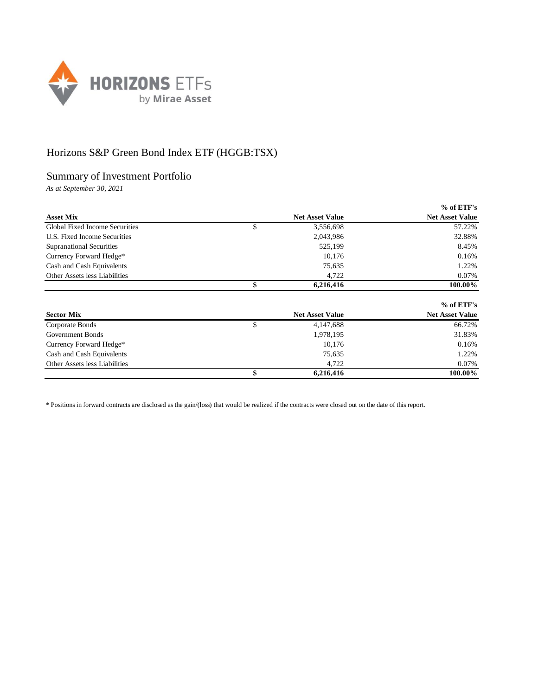

## Horizons S&P Green Bond Index ETF (HGGB:TSX)

## Summary of Investment Portfolio

*As at September 30, 2021*

|                                       |                        | $%$ of ETF's           |
|---------------------------------------|------------------------|------------------------|
| <b>Asset Mix</b>                      | <b>Net Asset Value</b> | <b>Net Asset Value</b> |
| <b>Global Fixed Income Securities</b> | \$<br>3,556,698        | 57.22%                 |
| U.S. Fixed Income Securities          | 2,043,986              | 32.88%                 |
| <b>Supranational Securities</b>       | 525,199                | 8.45%                  |
| Currency Forward Hedge*               | 10.176                 | 0.16%                  |
| Cash and Cash Equivalents             | 75,635                 | 1.22%                  |
| Other Assets less Liabilities         | 4,722                  | 0.07%                  |
|                                       | \$<br>6,216,416        | 100.00%                |
|                                       |                        | $%$ of ETF's           |
| <b>Sector Mix</b>                     | <b>Net Asset Value</b> | <b>Net Asset Value</b> |
| Corporate Bonds                       | \$<br>4,147,688        | 66.72%                 |
| Government Bonds                      | 1.978.195              | 31.83%                 |

|                               | 6.216.416 | 100.00%              |
|-------------------------------|-----------|----------------------|
| Other Assets less Liabilities | 4.722     | 0.07%                |
| Cash and Cash Equivalents     | 75,635    | .22%                 |
| Currency Forward Hedge*       | 10.176    | 0.16%                |
| Government Bonds              | 1,978,193 | 21.02 <sup>7</sup> 0 |

\* Positions in forward contracts are disclosed as the gain/(loss) that would be realized if the contracts were closed out on the date of this report.